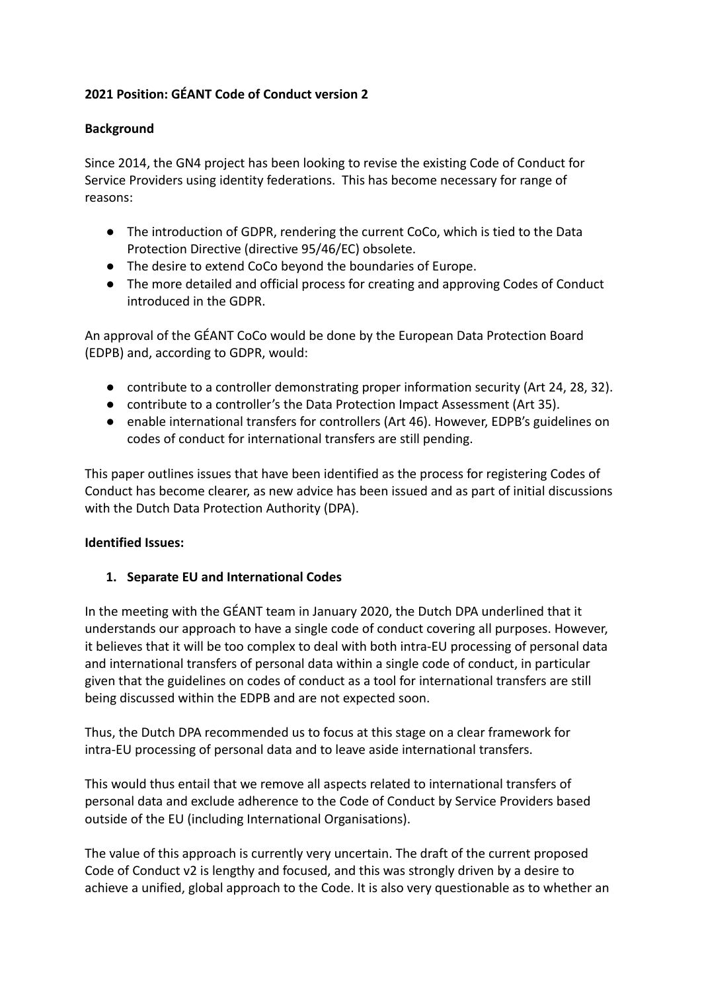## **2021 Position: GÉANT Code of Conduct version 2**

#### **Background**

Since 2014, the GN4 project has been looking to revise the existing Code of Conduct for Service Providers using identity federations. This has become necessary for range of reasons:

- The introduction of GDPR, rendering the current CoCo, which is tied to the Data Protection Directive (directive 95/46/EC) obsolete.
- The desire to extend CoCo beyond the boundaries of Europe.
- The more detailed and official process for creating and approving Codes of Conduct introduced in the GDPR.

An approval of the GÉANT CoCo would be done by the European Data Protection Board (EDPB) and, according to GDPR, would:

- contribute to a controller demonstrating proper information security (Art 24, 28, 32).
- contribute to a controller's the Data Protection Impact Assessment (Art 35).
- enable international transfers for controllers (Art 46). However, EDPB's guidelines on codes of conduct for international transfers are still pending.

This paper outlines issues that have been identified as the process for registering Codes of Conduct has become clearer, as new advice has been issued and as part of initial discussions with the Dutch Data Protection Authority (DPA).

### **Identified Issues:**

### **1. Separate EU and International Codes**

In the meeting with the GÉANT team in January 2020, the Dutch DPA underlined that it understands our approach to have a single code of conduct covering all purposes. However, it believes that it will be too complex to deal with both intra-EU processing of personal data and international transfers of personal data within a single code of conduct, in particular given that the guidelines on codes of conduct as a tool for international transfers are still being discussed within the EDPB and are not expected soon.

Thus, the Dutch DPA recommended us to focus at this stage on a clear framework for intra-EU processing of personal data and to leave aside international transfers.

This would thus entail that we remove all aspects related to international transfers of personal data and exclude adherence to the Code of Conduct by Service Providers based outside of the EU (including International Organisations).

The value of this approach is currently very uncertain. The draft of the current proposed Code of Conduct v2 is lengthy and focused, and this was strongly driven by a desire to achieve a unified, global approach to the Code. It is also very questionable as to whether an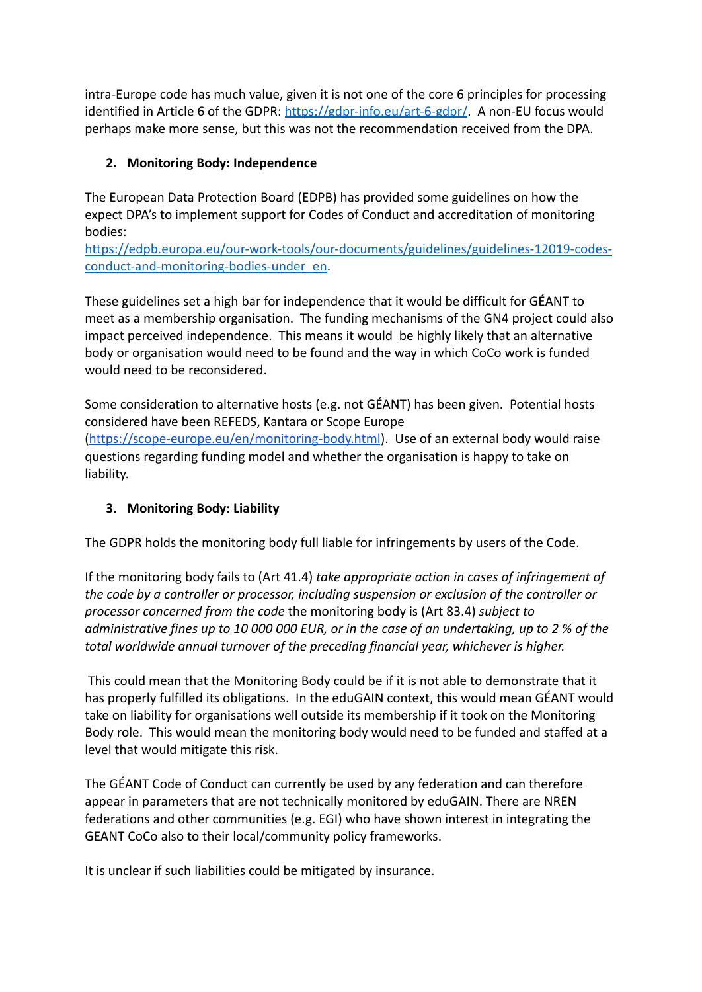intra-Europe code has much value, given it is not one of the core 6 principles for processing identified in Article 6 of the GDPR: <https://gdpr-info.eu/art-6-gdpr/>. A non-EU focus would perhaps make more sense, but this was not the recommendation received from the DPA.

# **2. Monitoring Body: Independence**

The European Data Protection Board (EDPB) has provided some guidelines on how the expect DPA's to implement support for Codes of Conduct and accreditation of monitoring bodies:

[https://edpb.europa.eu/our-work-tools/our-documents/guidelines/guidelines-12019-codes](https://edpb.europa.eu/our-work-tools/our-documents/guidelines/guidelines-12019-codes-conduct-and-monitoring-bodies-under_en)[conduct-and-monitoring-bodies-under\\_en.](https://edpb.europa.eu/our-work-tools/our-documents/guidelines/guidelines-12019-codes-conduct-and-monitoring-bodies-under_en)

These guidelines set a high bar for independence that it would be difficult for GÉANT to meet as a membership organisation. The funding mechanisms of the GN4 project could also impact perceived independence. This means it would be highly likely that an alternative body or organisation would need to be found and the way in which CoCo work is funded would need to be reconsidered.

Some consideration to alternative hosts (e.g. not GÉANT) has been given. Potential hosts considered have been REFEDS, Kantara or Scope Europe (<https://scope-europe.eu/en/monitoring-body.html>). Use of an external body would raise questions regarding funding model and whether the organisation is happy to take on liability.

### **3. Monitoring Body: Liability**

The GDPR holds the monitoring body full liable for infringements by users of the Code.

If the monitoring body fails to (Art 41.4) *take appropriate action in cases of infringement of the code by a controller or processor, including suspension or exclusion of the controller or processor concerned from the code* the monitoring body is (Art 83.4) *subject to administrative fines up to 10 000 000 EUR, or in the case of an undertaking, up to 2 % of the total worldwide annual turnover of the preceding financial year, whichever is higher.*

This could mean that the Monitoring Body could be if it is not able to demonstrate that it has properly fulfilled its obligations. In the eduGAIN context, this would mean GÉANT would take on liability for organisations well outside its membership if it took on the Monitoring Body role. This would mean the monitoring body would need to be funded and staffed at a level that would mitigate this risk.

The GÉANT Code of Conduct can currently be used by any federation and can therefore appear in parameters that are not technically monitored by eduGAIN. There are NREN federations and other communities (e.g. EGI) who have shown interest in integrating the GEANT CoCo also to their local/community policy frameworks.

It is unclear if such liabilities could be mitigated by insurance.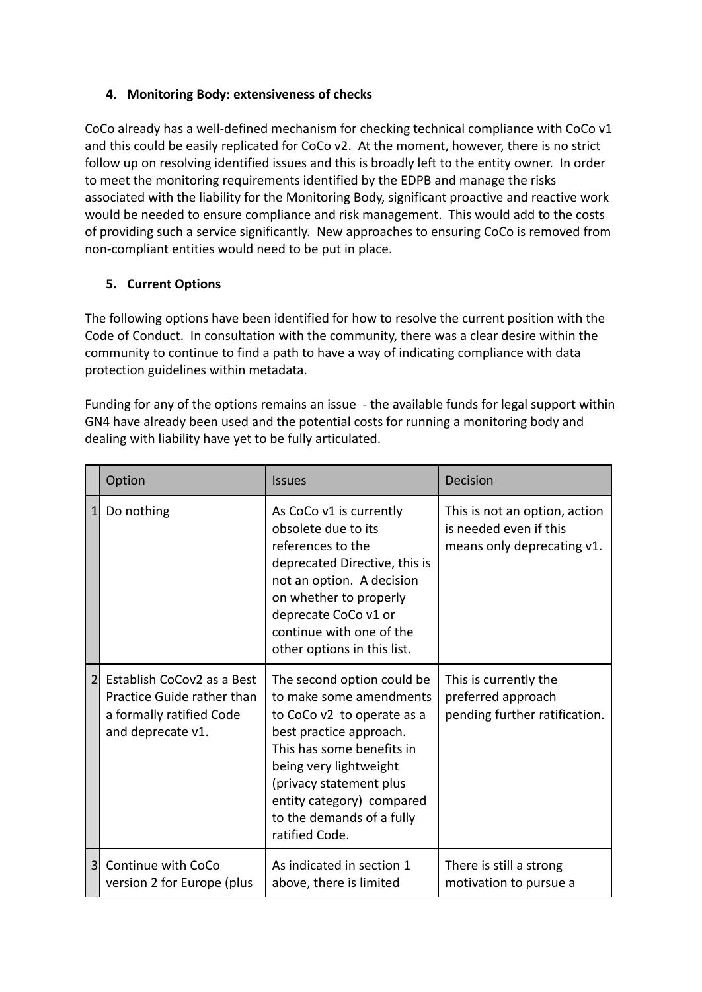### **4. Monitoring Body: extensiveness of checks**

CoCo already has a well-defined mechanism for checking technical compliance with CoCo v1 and this could be easily replicated for CoCo v2. At the moment, however, there is no strict follow up on resolving identified issues and this is broadly left to the entity owner. In order to meet the monitoring requirements identified by the EDPB and manage the risks associated with the liability for the Monitoring Body, significant proactive and reactive work would be needed to ensure compliance and risk management. This would add to the costs of providing such a service significantly. New approaches to ensuring CoCo is removed from non-compliant entities would need to be put in place.

## **5. Current Options**

The following options have been identified for how to resolve the current position with the Code of Conduct. In consultation with the community, there was a clear desire within the community to continue to find a path to have a way of indicating compliance with data protection guidelines within metadata.

Funding for any of the options remains an issue - the available funds for legal support within GN4 have already been used and the potential costs for running a monitoring body and dealing with liability have yet to be fully articulated.

|   | Option                                                                                                    | <b>Issues</b>                                                                                                                                                                                                                                                                | Decision                                                                              |
|---|-----------------------------------------------------------------------------------------------------------|------------------------------------------------------------------------------------------------------------------------------------------------------------------------------------------------------------------------------------------------------------------------------|---------------------------------------------------------------------------------------|
|   | Do nothing                                                                                                | As CoCo v1 is currently<br>obsolete due to its<br>references to the<br>deprecated Directive, this is<br>not an option. A decision<br>on whether to properly<br>deprecate CoCo v1 or<br>continue with one of the<br>other options in this list.                               | This is not an option, action<br>is needed even if this<br>means only deprecating v1. |
| 2 | Establish CoCov2 as a Best<br>Practice Guide rather than<br>a formally ratified Code<br>and deprecate v1. | The second option could be<br>to make some amendments<br>to CoCo v2 to operate as a<br>best practice approach.<br>This has some benefits in<br>being very lightweight<br>(privacy statement plus<br>entity category) compared<br>to the demands of a fully<br>ratified Code. | This is currently the<br>preferred approach<br>pending further ratification.          |
| 3 | Continue with CoCo<br>version 2 for Europe (plus                                                          | As indicated in section 1<br>above, there is limited                                                                                                                                                                                                                         | There is still a strong<br>motivation to pursue a                                     |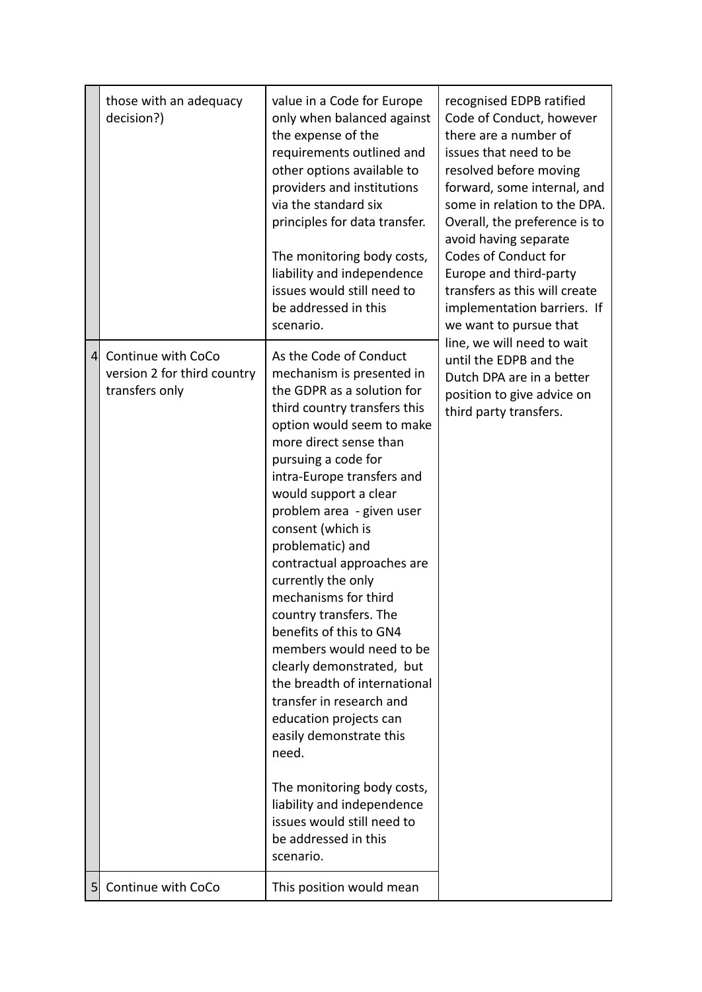|                | those with an adequacy<br>decision?)                                | value in a Code for Europe<br>only when balanced against<br>the expense of the<br>requirements outlined and<br>other options available to<br>providers and institutions<br>via the standard six<br>principles for data transfer.<br>The monitoring body costs,<br>liability and independence<br>issues would still need to<br>be addressed in this<br>scenario.                                                                                                                                                                                                                                                                                                                                                                                                                 | recognised EDPB ratified<br>Code of Conduct, however<br>there are a number of<br>issues that need to be<br>resolved before moving<br>forward, some internal, and<br>some in relation to the DPA.<br>Overall, the preference is to<br>avoid having separate<br>Codes of Conduct for<br>Europe and third-party<br>transfers as this will create<br>implementation barriers. If<br>we want to pursue that<br>line, we will need to wait<br>until the EDPB and the<br>Dutch DPA are in a better<br>position to give advice on<br>third party transfers. |
|----------------|---------------------------------------------------------------------|---------------------------------------------------------------------------------------------------------------------------------------------------------------------------------------------------------------------------------------------------------------------------------------------------------------------------------------------------------------------------------------------------------------------------------------------------------------------------------------------------------------------------------------------------------------------------------------------------------------------------------------------------------------------------------------------------------------------------------------------------------------------------------|-----------------------------------------------------------------------------------------------------------------------------------------------------------------------------------------------------------------------------------------------------------------------------------------------------------------------------------------------------------------------------------------------------------------------------------------------------------------------------------------------------------------------------------------------------|
| $\overline{4}$ | Continue with CoCo<br>version 2 for third country<br>transfers only | As the Code of Conduct<br>mechanism is presented in<br>the GDPR as a solution for<br>third country transfers this<br>option would seem to make<br>more direct sense than<br>pursuing a code for<br>intra-Europe transfers and<br>would support a clear<br>problem area - given user<br>consent (which is<br>problematic) and<br>contractual approaches are<br>currently the only<br>mechanisms for third<br>country transfers. The<br>benefits of this to GN4<br>members would need to be<br>clearly demonstrated, but<br>the breadth of international<br>transfer in research and<br>education projects can<br>easily demonstrate this<br>need.<br>The monitoring body costs,<br>liability and independence<br>issues would still need to<br>be addressed in this<br>scenario. |                                                                                                                                                                                                                                                                                                                                                                                                                                                                                                                                                     |
| 5              | Continue with CoCo                                                  | This position would mean                                                                                                                                                                                                                                                                                                                                                                                                                                                                                                                                                                                                                                                                                                                                                        |                                                                                                                                                                                                                                                                                                                                                                                                                                                                                                                                                     |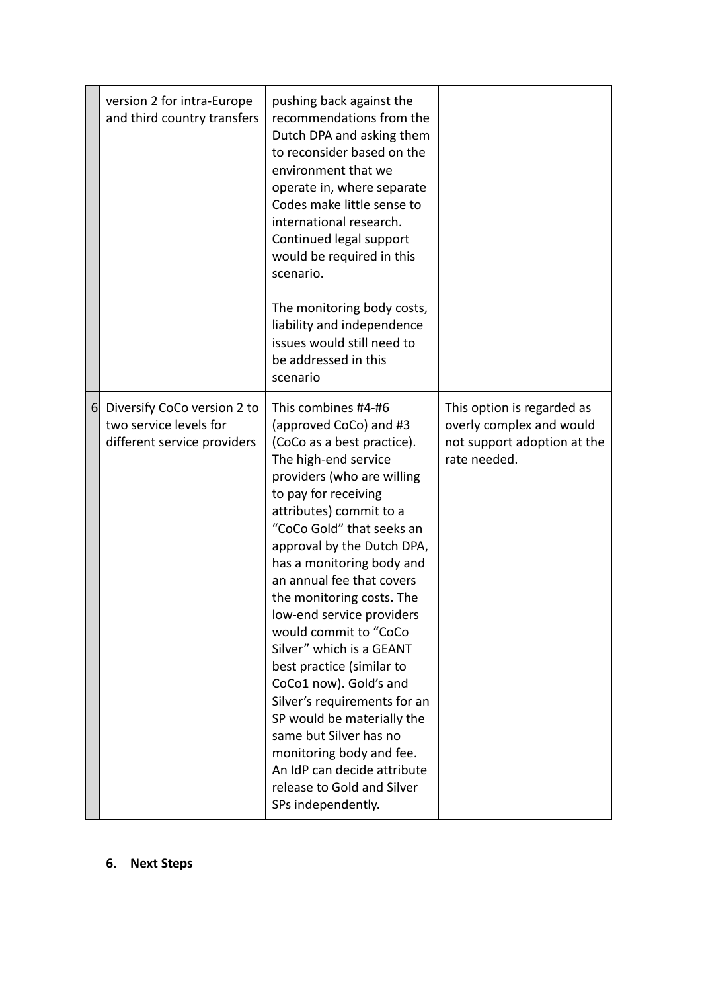|          | version 2 for intra-Europe<br>and third country transfers                            | pushing back against the<br>recommendations from the<br>Dutch DPA and asking them<br>to reconsider based on the<br>environment that we<br>operate in, where separate<br>Codes make little sense to<br>international research.<br>Continued legal support<br>would be required in this<br>scenario.<br>The monitoring body costs,<br>liability and independence<br>issues would still need to<br>be addressed in this<br>scenario                                                                                                                                                                                                                                                       |                                                                                                       |
|----------|--------------------------------------------------------------------------------------|----------------------------------------------------------------------------------------------------------------------------------------------------------------------------------------------------------------------------------------------------------------------------------------------------------------------------------------------------------------------------------------------------------------------------------------------------------------------------------------------------------------------------------------------------------------------------------------------------------------------------------------------------------------------------------------|-------------------------------------------------------------------------------------------------------|
| $6 \mid$ | Diversify CoCo version 2 to<br>two service levels for<br>different service providers | This combines #4-#6<br>(approved CoCo) and #3<br>(CoCo as a best practice).<br>The high-end service<br>providers (who are willing<br>to pay for receiving<br>attributes) commit to a<br>"CoCo Gold" that seeks an<br>approval by the Dutch DPA,<br>has a monitoring body and<br>an annual fee that covers<br>the monitoring costs. The<br>low-end service providers<br>would commit to "CoCo<br>Silver" which is a GEANT<br>best practice (similar to<br>CoCo1 now). Gold's and<br>Silver's requirements for an<br>SP would be materially the<br>same but Silver has no<br>monitoring body and fee.<br>An IdP can decide attribute<br>release to Gold and Silver<br>SPs independently. | This option is regarded as<br>overly complex and would<br>not support adoption at the<br>rate needed. |